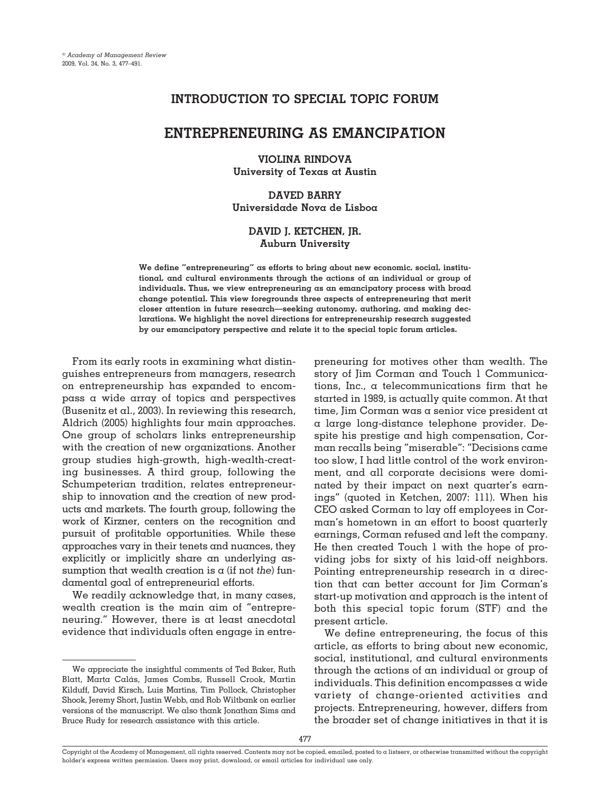# **INTRODUCTION TO SPECIAL TOPIC FORUM**

# **ENTREPRENEURING AS EMANCIPATION**

**VIOLINA RINDOVA University of Texas at Austin**

**DAVED BARRY Universidade Nova de Lisboa**

## **DAVID J. KETCHEN, JR. Auburn University**

**We define "entrepreneuring" as efforts to bring about new economic, social, institutional, and cultural environments through the actions of an individual or group of individuals. Thus, we view entrepreneuring as an emancipatory process with broad change potential. This view foregrounds three aspects of entrepreneuring that merit closer attention in future research—seeking autonomy, authoring, and making declarations. We highlight the novel directions for entrepreneurship research suggested by our emancipatory perspective and relate it to the special topic forum articles.**

From its early roots in examining what distinguishes entrepreneurs from managers, research on entrepreneurship has expanded to encompass a wide array of topics and perspectives (Busenitz et al., 2003). In reviewing this research, Aldrich (2005) highlights four main approaches. One group of scholars links entrepreneurship with the creation of new organizations. Another group studies high-growth, high-wealth-creating businesses. A third group, following the Schumpeterian tradition, relates entrepreneurship to innovation and the creation of new products and markets. The fourth group, following the work of Kirzner, centers on the recognition and pursuit of profitable opportunities. While these approaches vary in their tenets and nuances, they explicitly or implicitly share an underlying assumption that wealth creation is a (if not *the*) fundamental goal of entrepreneurial efforts.

We readily acknowledge that, in many cases, wealth creation is the main aim of "entrepreneuring." However, there is at least anecdotal evidence that individuals often engage in entrepreneuring for motives other than wealth. The story of Jim Corman and Touch 1 Communications, Inc., a telecommunications firm that he started in 1989, is actually quite common. At that time, Jim Corman was a senior vice president at a large long-distance telephone provider. Despite his prestige and high compensation, Corman recalls being "miserable": "Decisions came too slow, I had little control of the work environment, and all corporate decisions were dominated by their impact on next quarter's earnings" (quoted in Ketchen, 2007: 111). When his CEO asked Corman to lay off employees in Corman's hometown in an effort to boost quarterly earnings, Corman refused and left the company. He then created Touch 1 with the hope of providing jobs for sixty of his laid-off neighbors. Pointing entrepreneurship research in a direction that can better account for Jim Corman's start-up motivation and approach is the intent of both this special topic forum (STF) and the present article.

We define entrepreneuring, the focus of this article, as efforts to bring about new economic, social, institutional, and cultural environments through the actions of an individual or group of individuals. This definition encompasses a wide variety of change-oriented activities and projects. Entrepreneuring, however, differs from the broader set of change initiatives in that it is

We appreciate the insightful comments of Ted Baker, Ruth Blatt, Marta Calás, James Combs, Russell Crook, Martin Kilduff, David Kirsch, Luis Martins, Tim Pollock, Christopher Shook, Jeremy Short, Justin Webb, and Rob Wiltbank on earlier versions of the manuscript. We also thank Jonathan Sims and Bruce Rudy for research assistance with this article.

Copyright of the Academy of Management, all rights reserved. Contents may not be copied, emailed, posted to a listserv, or otherwise transmitted without the copyright holder's express written permission. Users may print, download, or email articles for individual use only.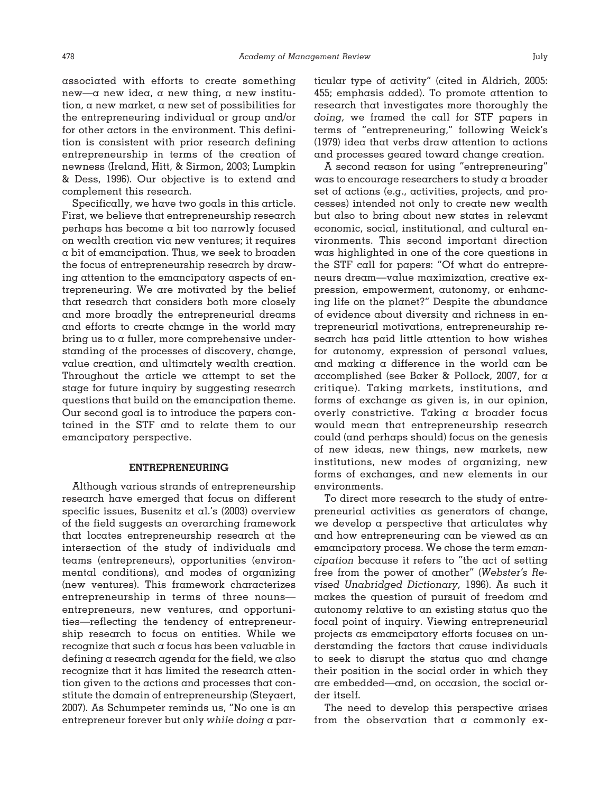associated with efforts to create something new— $\alpha$  new idea,  $\alpha$  new thing,  $\alpha$  new institution, a new market, a new set of possibilities for the entrepreneuring individual or group and/or for other actors in the environment. This definition is consistent with prior research defining entrepreneurship in terms of the creation of newness (Ireland, Hitt, & Sirmon, 2003; Lumpkin & Dess, 1996). Our objective is to extend and complement this research.

Specifically, we have two goals in this article. First, we believe that entrepreneurship research perhaps has become a bit too narrowly focused on wealth creation via new ventures; it requires a bit of emancipation. Thus, we seek to broaden the focus of entrepreneurship research by drawing attention to the emancipatory aspects of entrepreneuring. We are motivated by the belief that research that considers both more closely and more broadly the entrepreneurial dreams and efforts to create change in the world may bring us to a fuller, more comprehensive understanding of the processes of discovery, change, value creation, and ultimately wealth creation. Throughout the article we attempt to set the stage for future inquiry by suggesting research questions that build on the emancipation theme. Our second goal is to introduce the papers contained in the STF and to relate them to our emancipatory perspective.

### **ENTREPRENEURING**

Although various strands of entrepreneurship research have emerged that focus on different specific issues, Busenitz et al.'s (2003) overview of the field suggests an overarching framework that locates entrepreneurship research at the intersection of the study of individuals and teams (entrepreneurs), opportunities (environmental conditions), and modes of organizing (new ventures). This framework characterizes entrepreneurship in terms of three nouns entrepreneurs, new ventures, and opportunities—reflecting the tendency of entrepreneurship research to focus on entities. While we recognize that such a focus has been valuable in defining a research agenda for the field, we also recognize that it has limited the research attention given to the actions and processes that constitute the domain of entrepreneurship (Steyaert, 2007). As Schumpeter reminds us, "No one is an entrepreneur forever but only *while doing* a particular type of activity" (cited in Aldrich, 2005: 455; emphasis added). To promote attention to research that investigates more thoroughly the *doing,* we framed the call for STF papers in terms of "entrepreneuring," following Weick's (1979) idea that verbs draw attention to actions and processes geared toward change creation.

A second reason for using "entrepreneuring" was to encourage researchers to study a broader set of actions (e.g., activities, projects, and processes) intended not only to create new wealth but also to bring about new states in relevant economic, social, institutional, and cultural environments. This second important direction was highlighted in one of the core questions in the STF call for papers: "Of what do entrepreneurs dream—value maximization, creative expression, empowerment, autonomy, or enhancing life on the planet?" Despite the abundance of evidence about diversity and richness in entrepreneurial motivations, entrepreneurship research has paid little attention to how wishes for autonomy, expression of personal values, and making a difference in the world can be accomplished (see Baker & Pollock, 2007, for a critique). Taking markets, institutions, and forms of exchange as given is, in our opinion, overly constrictive. Taking a broader focus would mean that entrepreneurship research could (and perhaps should) focus on the genesis of new ideas, new things, new markets, new institutions, new modes of organizing, new forms of exchanges, and new elements in our environments.

To direct more research to the study of entrepreneurial activities as generators of change, we develop a perspective that articulates why and how entrepreneuring can be viewed as an emancipatory process. We chose the term *emancipation* because it refers to "the act of setting free from the power of another" (*Webster's Revised Unabridged Dictionary,* 1996). As such it makes the question of pursuit of freedom and autonomy relative to an existing status quo the focal point of inquiry. Viewing entrepreneurial projects as emancipatory efforts focuses on understanding the factors that cause individuals to seek to disrupt the status quo and change their position in the social order in which they are embedded—and, on occasion, the social order itself.

The need to develop this perspective arises from the observation that a commonly ex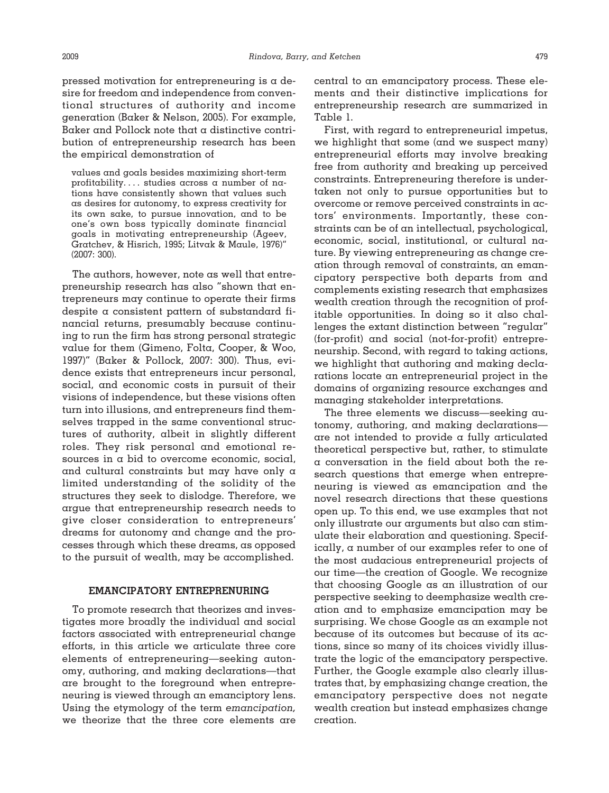pressed motivation for entrepreneuring is a desire for freedom and independence from conventional structures of authority and income generation (Baker & Nelson, 2005). For example, Baker and Pollock note that a distinctive contribution of entrepreneurship research has been the empirical demonstration of

values and goals besides maximizing short-term profitability.... studies across a number of nations have consistently shown that values such as desires for autonomy, to express creativity for its own sake, to pursue innovation, and to be one's own boss typically dominate financial goals in motivating entrepreneurship (Ageev, Gratchev, & Hisrich, 1995; Litvak & Maule, 1976)" (2007: 300).

The authors, however, note as well that entrepreneurship research has also "shown that entrepreneurs may continue to operate their firms despite a consistent pattern of substandard financial returns, presumably because continuing to run the firm has strong personal strategic value for them (Gimeno, Folta, Cooper, & Woo, 1997)" (Baker & Pollock, 2007: 300). Thus, evidence exists that entrepreneurs incur personal, social, and economic costs in pursuit of their visions of independence, but these visions often turn into illusions, and entrepreneurs find themselves trapped in the same conventional structures of authority, albeit in slightly different roles. They risk personal and emotional resources in a bid to overcome economic, social, and cultural constraints but may have only a limited understanding of the solidity of the structures they seek to dislodge. Therefore, we argue that entrepreneurship research needs to give closer consideration to entrepreneurs' dreams for autonomy and change and the processes through which these dreams, as opposed to the pursuit of wealth, may be accomplished.

### **EMANCIPATORY ENTREPRENURING**

To promote research that theorizes and investigates more broadly the individual and social factors associated with entrepreneurial change efforts, in this article we articulate three core elements of entrepreneuring—seeking autonomy, authoring, and making declarations—that are brought to the foreground when entrepreneuring is viewed through an emanciptory lens. Using the etymology of the term *emancipation,* we theorize that the three core elements are central to an emancipatory process. These elements and their distinctive implications for entrepreneurship research are summarized in Table 1.

First, with regard to entrepreneurial impetus, we highlight that some (and we suspect many) entrepreneurial efforts may involve breaking free from authority and breaking up perceived constraints. Entrepreneuring therefore is undertaken not only to pursue opportunities but to overcome or remove perceived constraints in actors' environments. Importantly, these constraints can be of an intellectual, psychological, economic, social, institutional, or cultural nature. By viewing entrepreneuring as change creation through removal of constraints, an emancipatory perspective both departs from and complements existing research that emphasizes wealth creation through the recognition of profitable opportunities. In doing so it also challenges the extant distinction between "regular" (for-profit) and social (not-for-profit) entrepreneurship. Second, with regard to taking actions, we highlight that authoring and making declarations locate an entrepreneurial project in the domains of organizing resource exchanges and managing stakeholder interpretations.

The three elements we discuss—seeking autonomy, authoring, and making declarations are not intended to provide a fully articulated theoretical perspective but, rather, to stimulate a conversation in the field about both the research questions that emerge when entrepreneuring is viewed as emancipation and the novel research directions that these questions open up. To this end, we use examples that not only illustrate our arguments but also can stimulate their elaboration and questioning. Specifically, a number of our examples refer to one of the most audacious entrepreneurial projects of our time—the creation of Google. We recognize that choosing Google as an illustration of our perspective seeking to deemphasize wealth creation and to emphasize emancipation may be surprising. We chose Google as an example not because of its outcomes but because of its actions, since so many of its choices vividly illustrate the logic of the emancipatory perspective. Further, the Google example also clearly illustrates that, by emphasizing change creation, the emancipatory perspective does not negate wealth creation but instead emphasizes change creation.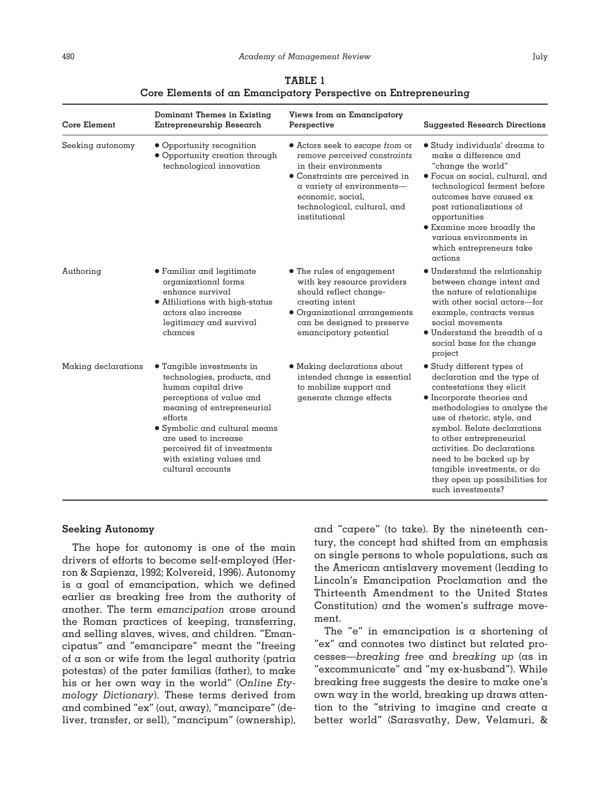| <b>Core Element</b> | Dominant Themes in Existing<br>Entrepreneurship Research                                                                                                                                                                                                                                       | Views from an Emancipatory<br>Perspective                                                                                                                                                                                      | Suggested Research Directions                                                                                                                                                                                                                                                                                                                                                                          |
|---------------------|------------------------------------------------------------------------------------------------------------------------------------------------------------------------------------------------------------------------------------------------------------------------------------------------|--------------------------------------------------------------------------------------------------------------------------------------------------------------------------------------------------------------------------------|--------------------------------------------------------------------------------------------------------------------------------------------------------------------------------------------------------------------------------------------------------------------------------------------------------------------------------------------------------------------------------------------------------|
| Seeking autonomy    | • Opportunity recognition<br>• Opportunity creation through<br>technological innovation                                                                                                                                                                                                        | • Actors seek to escape from or<br>remove perceived constraints<br>in their environments<br>• Constraints are perceived in<br>a variety of environments-<br>economic, social,<br>technological, cultural, and<br>institutional | • Study individuals' dreams to<br>make a difference and<br>"change the world"<br>• Focus on social, cultural, and<br>technological ferment before<br>outcomes have caused ex<br>post rationalizations of<br>opportunities<br>$\bullet$ Examine more broadly the<br>various environments in<br>which entrepreneurs take<br>actions                                                                      |
| Authoring           | $\bullet$ Familiar and legitimate<br>organizational forms<br>enhance survival<br>• Affiliations with high-status<br>actors also increase<br>legitimacy and survival<br>chances                                                                                                                 | • The rules of engagement<br>with key resource providers<br>should reflect change-<br>creating intent<br>• Organizational arrangements<br>can be designed to preserve<br>emancipatory potential                                | • Understand the relationship<br>between change intent and<br>the nature of relationships<br>with other social actors-for<br>example, contracts versus<br>social movements<br>$\bullet$ Understand the breadth of a<br>social base for the change<br>project                                                                                                                                           |
| Making declarations | • Tangible investments in<br>technologies, products, and<br>human capital drive<br>perceptions of value and<br>meaning of entrepreneurial<br>efforts<br>· Symbolic and cultural means<br>are used to increase<br>perceived fit of investments<br>with existing values and<br>cultural accounts | • Making declarations about<br>intended change is essential<br>to mobilize support and<br>generate change effects                                                                                                              | • Study different types of<br>declaration and the type of<br>contestations they elicit<br>$\bullet$ Incorporate theories and<br>methodologies to analyze the<br>use of rhetoric, style, and<br>symbol. Relate declarations<br>to other entrepreneurial<br>activities. Do declarations<br>need to be backed up by<br>tangible investments, or do<br>they open up possibilities for<br>such investments? |

**TABLE 1 Core Elements of an Emancipatory Perspective on Entrepreneuring**

#### **Seeking Autonomy**

The hope for autonomy is one of the main drivers of efforts to become self-employed (Herron & Sapienza, 1992; Kolvereid, 1996). Autonomy is a goal of emancipation, which we defined earlier as breaking free from the authority of another. The term *emancipation* arose around the Roman practices of keeping, transferring, and selling slaves, wives, and children. "Emancipatus" and "emancipare" meant the "freeing of  $\alpha$  son or wife from the legal authority (patria potestas) of the pater familias (father), to make his or her own way in the world" (*Online Etymology Dictionary*). These terms derived from and combined "ex" (out, away), "mancipare" (deliver, transfer, or sell), "mancipum" (ownership), and "capere" (to take). By the nineteenth century, the concept had shifted from an emphasis on single persons to whole populations, such as the American antislavery movement (leading to Lincoln's Emancipation Proclamation and the Thirteenth Amendment to the United States Constitution) and the women's suffrage movement.

The "e" in emancipation is a shortening of "ex" and connotes two distinct but related processes—*breaking free* and *breaking up* (as in "excommunicate" and "my ex-husband"). While breaking free suggests the desire to make one's own way in the world, breaking up draws attention to the "striving to imagine and create a better world" (Sarasvathy, Dew, Velamuri, &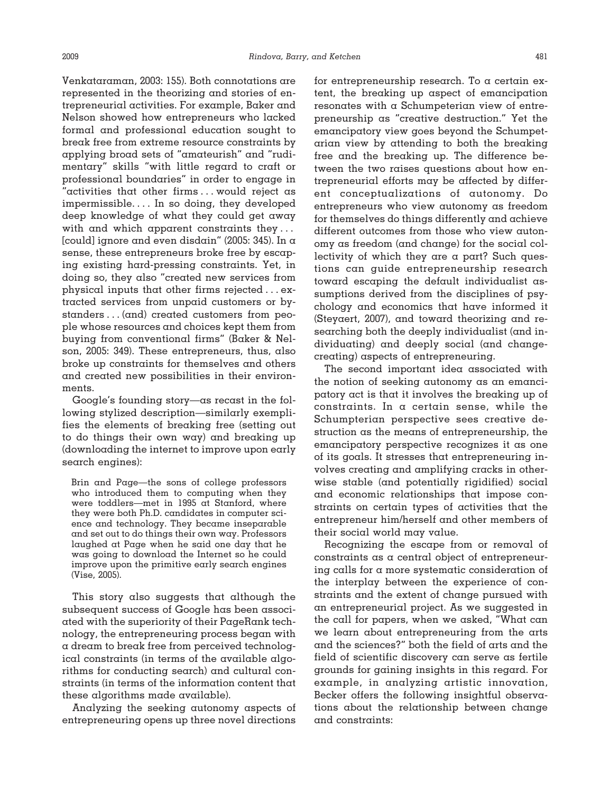Venkataraman, 2003: 155). Both connotations are represented in the theorizing and stories of entrepreneurial activities. For example, Baker and Nelson showed how entrepreneurs who lacked formal and professional education sought to break free from extreme resource constraints by applying broad sets of "amateurish" and "rudimentary" skills "with little regard to craft or professional boundaries" in order to engage in "activities that other firms... would reject as impermissible. . . . In so doing, they developed deep knowledge of what they could get away with and which apparent constraints they... [could] ignore and even disdain" (2005: 345). In a sense, these entrepreneurs broke free by escaping existing hard-pressing constraints. Yet, in doing so, they also "created new services from physical inputs that other firms rejected . . . extracted services from unpaid customers or bystanders... (and) created customers from people whose resources and choices kept them from buying from conventional firms" (Baker & Nelson, 2005: 349). These entrepreneurs, thus, also broke up constraints for themselves and others and created new possibilities in their environments.

Google's founding story—as recast in the following stylized description—similarly exemplifies the elements of breaking free (setting out to do things their own way) and breaking up (downloading the internet to improve upon early search engines):

Brin and Page—the sons of college professors who introduced them to computing when they were toddlers—met in 1995 at Stanford, where they were both Ph.D. candidates in computer science and technology. They became inseparable and set out to do things their own way. Professors laughed at Page when he said one day that he was going to download the Internet so he could improve upon the primitive early search engines (Vise, 2005).

This story also suggests that although the subsequent success of Google has been associated with the superiority of their PageRank technology, the entrepreneuring process began with a dream to break free from perceived technological constraints (in terms of the available algorithms for conducting search) and cultural constraints (in terms of the information content that these algorithms made available).

Analyzing the seeking autonomy aspects of entrepreneuring opens up three novel directions for entrepreneurship research. To a certain extent, the breaking up aspect of emancipation resonates with a Schumpeterian view of entrepreneurship as "creative destruction." Yet the emancipatory view goes beyond the Schumpetarian view by attending to both the breaking free and the breaking up. The difference between the two raises questions about how entrepreneurial efforts may be affected by different conceptualizations of autonomy. Do entrepreneurs who view autonomy as freedom for themselves do things differently and achieve different outcomes from those who view autonomy as freedom (and change) for the social collectivity of which they are a part? Such questions can guide entrepreneurship research toward escaping the default individualist assumptions derived from the disciplines of psychology and economics that have informed it (Steyaert, 2007), and toward theorizing and researching both the deeply individualist (and individuating) and deeply social (and changecreating) aspects of entrepreneuring.

The second important idea associated with the notion of seeking autonomy as an emancipatory act is that it involves the breaking up of constraints. In a certain sense, while the Schumpterian perspective sees creative destruction as the means of entrepreneurship, the emancipatory perspective recognizes it as one of its goals. It stresses that entrepreneuring involves creating and amplifying cracks in otherwise stable (and potentially rigidified) social and economic relationships that impose constraints on certain types of activities that the entrepreneur him/herself and other members of their social world may value.

Recognizing the escape from or removal of constraints as a central object of entrepreneuring calls for a more systematic consideration of the interplay between the experience of constraints and the extent of change pursued with an entrepreneurial project. As we suggested in the call for papers, when we asked, "What can we learn about entrepreneuring from the arts and the sciences?" both the field of arts and the field of scientific discovery can serve as fertile grounds for gaining insights in this regard. For example, in analyzing artistic innovation, Becker offers the following insightful observations about the relationship between change and constraints: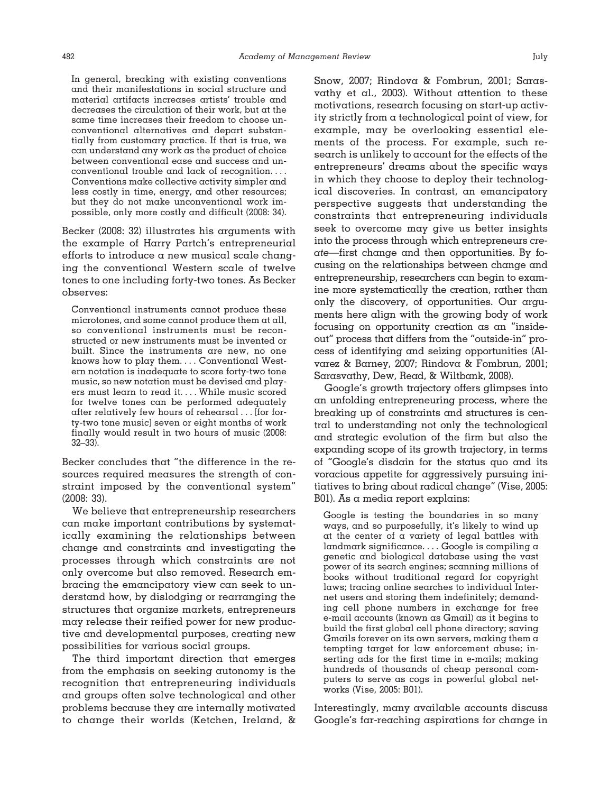In general, breaking with existing conventions and their manifestations in social structure and material artifacts increases artists' trouble and decreases the circulation of their work, but at the same time increases their freedom to choose unconventional alternatives and depart substantially from customary practice. If that is true, we can understand any work as the product of choice between conventional ease and success and unconventional trouble and lack of recognition.... Conventions make collective activity simpler and less costly in time, energy, and other resources; but they do not make unconventional work impossible, only more costly and difficult (2008: 34).

Becker (2008: 32) illustrates his arguments with the example of Harry Partch's entrepreneurial efforts to introduce  $\alpha$  new musical scale changing the conventional Western scale of twelve tones to one including forty-two tones. As Becker observes:

Conventional instruments cannot produce these microtones, and some cannot produce them at all, so conventional instruments must be reconstructed or new instruments must be invented or built. Since the instruments are new, no one knows how to play them.... Conventional Western notation is inadequate to score forty-two tone music, so new notation must be devised and players must learn to read it.... While music scored for twelve tones can be performed adequately after relatively few hours of rehearsal... [for forty-two tone music] seven or eight months of work finally would result in two hours of music (2008: 32–33).

Becker concludes that "the difference in the resources required measures the strength of constraint imposed by the conventional system" (2008: 33).

We believe that entrepreneurship researchers can make important contributions by systematically examining the relationships between change and constraints and investigating the processes through which constraints are not only overcome but also removed. Research embracing the emancipatory view can seek to understand how, by dislodging or rearranging the structures that organize markets, entrepreneurs may release their reified power for new productive and developmental purposes, creating new possibilities for various social groups.

The third important direction that emerges from the emphasis on seeking autonomy is the recognition that entrepreneuring individuals and groups often solve technological and other problems because they are internally motivated to change their worlds (Ketchen, Ireland, &

Snow, 2007; Rindova & Fombrun, 2001; Sarasvathy et al., 2003). Without attention to these motivations, research focusing on start-up activity strictly from a technological point of view, for example, may be overlooking essential elements of the process. For example, such research is unlikely to account for the effects of the entrepreneurs' dreams about the specific ways in which they choose to deploy their technological discoveries. In contrast, an emancipatory perspective suggests that understanding the constraints that entrepreneuring individuals seek to overcome may give us better insights into the process through which entrepreneurs *create*—first change and then opportunities. By focusing on the relationships between change and entrepreneurship, researchers can begin to examine more systematically the creation, rather than only the discovery, of opportunities. Our arguments here align with the growing body of work focusing on opportunity creation as an "insideout" process that differs from the "outside-in" process of identifying and seizing opportunities (Alvarez & Barney, 2007; Rindova & Fombrun, 2001; Sarasvathy, Dew, Read, & Wiltbank, 2008).

Google's growth trajectory offers glimpses into an unfolding entrepreneuring process, where the breaking up of constraints and structures is central to understanding not only the technological and strategic evolution of the firm but also the expanding scope of its growth trajectory, in terms of "Google's disdain for the status quo and its voracious appetite for aggressively pursuing initiatives to bring about radical change" (Vise, 2005: B01). As a media report explains:

Google is testing the boundaries in so many ways, and so purposefully, it's likely to wind up at the center of a variety of legal battles with landmark significance.... Google is compiling a genetic and biological database using the vast power of its search engines; scanning millions of books without traditional regard for copyright laws; tracing online searches to individual Internet users and storing them indefinitely; demanding cell phone numbers in exchange for free e-mail accounts (known as Gmail) as it begins to build the first global cell phone directory; saving Gmails forever on its own servers, making them  $\alpha$ tempting target for law enforcement abuse; inserting ads for the first time in e-mails; making hundreds of thousands of cheap personal computers to serve as cogs in powerful global networks (Vise, 2005: B01).

Interestingly, many available accounts discuss Google's far-reaching aspirations for change in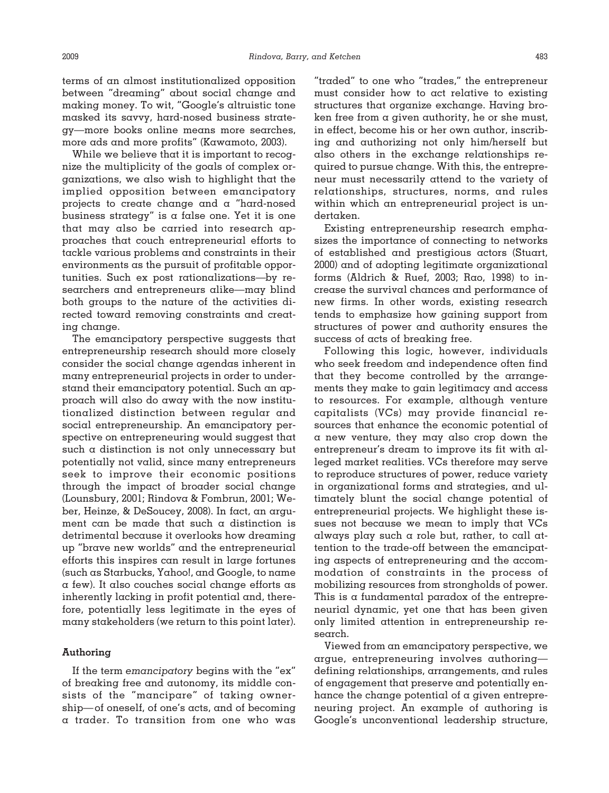terms of an almost institutionalized opposition between "dreaming" about social change and making money. To wit, "Google's altruistic tone masked its savvy, hard-nosed business strategy—more books online means more searches, more ads and more profits" (Kawamoto, 2003).

While we believe that it is important to recognize the multiplicity of the goals of complex organizations, we also wish to highlight that the implied opposition between emancipatory projects to create change and a "hard-nosed business strategy" is a false one. Yet it is one that may also be carried into research approaches that couch entrepreneurial efforts to tackle various problems and constraints in their environments as the pursuit of profitable opportunities. Such ex post rationalizations—by researchers and entrepreneurs alike—may blind both groups to the nature of the activities directed toward removing constraints and creating change.

The emancipatory perspective suggests that entrepreneurship research should more closely consider the social change agendas inherent in many entrepreneurial projects in order to understand their emancipatory potential. Such an approach will also do away with the now institutionalized distinction between regular and social entrepreneurship. An emancipatory perspective on entrepreneuring would suggest that such a distinction is not only unnecessary but potentially not valid, since many entrepreneurs seek to improve their economic positions through the impact of broader social change (Lounsbury, 2001; Rindova & Fombrun, 2001; Weber, Heinze, & DeSoucey, 2008). In fact, an argument can be made that such a distinction is detrimental because it overlooks how dreaming up "brave new worlds" and the entrepreneurial efforts this inspires can result in large fortunes (such as Starbucks, Yahoo!, and Google, to name a few). It also couches social change efforts as inherently lacking in profit potential and, therefore, potentially less legitimate in the eyes of many stakeholders (we return to this point later).

#### **Authoring**

If the term *emancipatory* begins with the "ex" of breaking free and autonomy, its middle consists of the "mancipare" of taking ownership— of oneself, of one's acts, and of becoming a trader. To transition from one who was "traded" to one who "trades," the entrepreneur must consider how to act relative to existing structures that organize exchange. Having broken free from a given authority, he or she must, in effect, become his or her own author, inscribing and authorizing not only him/herself but also others in the exchange relationships required to pursue change. With this, the entrepreneur must necessarily attend to the variety of relationships, structures, norms, and rules within which an entrepreneurial project is undertaken.

Existing entrepreneurship research emphasizes the importance of connecting to networks of established and prestigious actors (Stuart, 2000) and of adopting legitimate organizational forms (Aldrich & Ruef, 2003; Rao, 1998) to increase the survival chances and performance of new firms. In other words, existing research tends to emphasize how gaining support from structures of power and authority ensures the success of acts of breaking free.

Following this logic, however, individuals who seek freedom and independence often find that they become controlled by the arrangements they make to gain legitimacy and access to resources. For example, although venture capitalists (VCs) may provide financial resources that enhance the economic potential of a new venture, they may also crop down the entrepreneur's dream to improve its fit with alleged market realities. VCs therefore may serve to reproduce structures of power, reduce variety in organizational forms and strategies, and ultimately blunt the social change potential of entrepreneurial projects. We highlight these issues not because we mean to imply that VCs always play such a role but, rather, to call attention to the trade-off between the emancipating aspects of entrepreneuring and the accommodation of constraints in the process of mobilizing resources from strongholds of power. This is a fundamental paradox of the entrepreneurial dynamic, yet one that has been given only limited attention in entrepreneurship research.

Viewed from an emancipatory perspective, we argue, entrepreneuring involves authoring defining relationships, arrangements, and rules of engagement that preserve and potentially enhance the change potential of a given entrepreneuring project. An example of authoring is Google's unconventional leadership structure,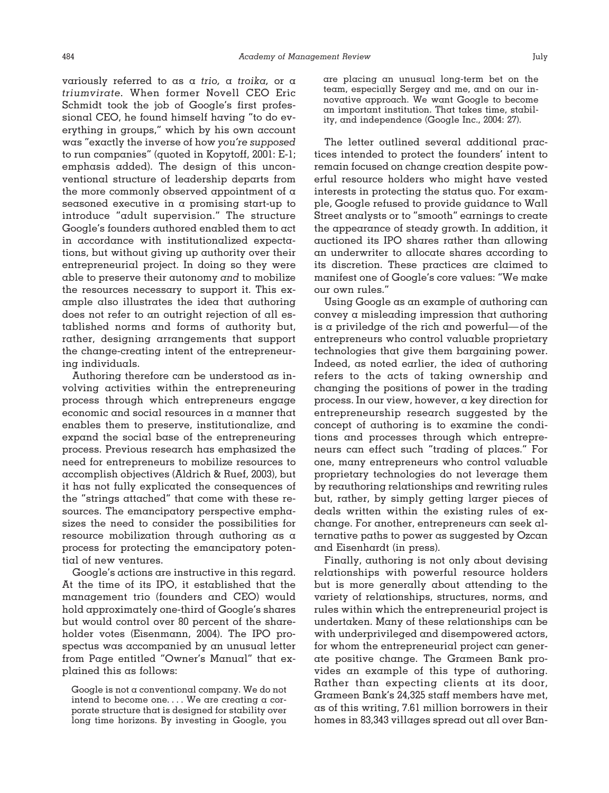variously referred to as a *trio,* a *troika,* or a *triumvirate.* When former Novell CEO Eric Schmidt took the job of Google's first professional CEO, he found himself having "to do everything in groups," which by his own account was "exactly the inverse of how *you're supposed* to run companies" (quoted in Kopytoff, 2001: E-1; emphasis added). The design of this unconventional structure of leadership departs from the more commonly observed appointment of a seasoned executive in a promising start-up to introduce "adult supervision." The structure Google's founders authored enabled them to act in accordance with institutionalized expectations, but without giving up authority over their entrepreneurial project. In doing so they were able to preserve their autonomy *and* to mobilize the resources necessary to support it. This example also illustrates the idea that authoring does not refer to an outright rejection of all established norms and forms of authority but, rather, designing arrangements that support the change-creating intent of the entrepreneuring individuals.

Authoring therefore can be understood as involving activities within the entrepreneuring process through which entrepreneurs engage economic and social resources in a manner that enables them to preserve, institutionalize, and expand the social base of the entrepreneuring process. Previous research has emphasized the need for entrepreneurs to mobilize resources to accomplish objectives (Aldrich & Ruef, 2003), but it has not fully explicated the consequences of the "strings attached" that come with these resources. The emancipatory perspective emphasizes the need to consider the possibilities for resource mobilization through authoring as a process for protecting the emancipatory potential of new ventures.

Google's actions are instructive in this regard. At the time of its IPO, it established that the management trio (founders and CEO) would hold approximately one-third of Google's shares but would control over 80 percent of the shareholder votes (Eisenmann, 2004). The IPO prospectus was accompanied by an unusual letter from Page entitled "Owner's Manual" that explained this as follows:

are placing an unusual long-term bet on the team, especially Sergey and me, and on our innovative approach. We want Google to become an important institution. That takes time, stability, and independence (Google Inc., 2004: 27).

The letter outlined several additional practices intended to protect the founders' intent to remain focused on change creation despite powerful resource holders who might have vested interests in protecting the status quo. For example, Google refused to provide guidance to Wall Street analysts or to "smooth" earnings to create the appearance of steady growth. In addition, it auctioned its IPO shares rather than allowing an underwriter to allocate shares according to its discretion. These practices are claimed to manifest one of Google's core values: "We make our own rules."

Using Google as an example of authoring can convey a misleading impression that authoring is a priviledge of the rich and powerful— of the entrepreneurs who control valuable proprietary technologies that give them bargaining power. Indeed, as noted earlier, the idea of authoring refers to the acts of taking ownership and changing the positions of power in the trading process. In our view, however, a key direction for entrepreneurship research suggested by the concept of authoring is to examine the conditions and processes through which entrepreneurs can effect such "trading of places." For one, many entrepreneurs who control valuable proprietary technologies do not leverage them by reauthoring relationships and rewriting rules but, rather, by simply getting larger pieces of deals written within the existing rules of exchange. For another, entrepreneurs can seek alternative paths to power as suggested by Ozcan and Eisenhardt (in press).

Finally, authoring is not only about devising relationships with powerful resource holders but is more generally about attending to the variety of relationships, structures, norms, and rules within which the entrepreneurial project is undertaken. Many of these relationships can be with underprivileged and disempowered actors, for whom the entrepreneurial project can generate positive change. The Grameen Bank provides an example of this type of authoring. Rather than expecting clients at its door, Grameen Bank's 24,325 staff members have met, as of this writing, 7.61 million borrowers in their homes in 83,343 villages spread out all over Ban-

Google is not a conventional company. We do not intend to become one.... We are creating a corporate structure that is designed for stability over long time horizons. By investing in Google, you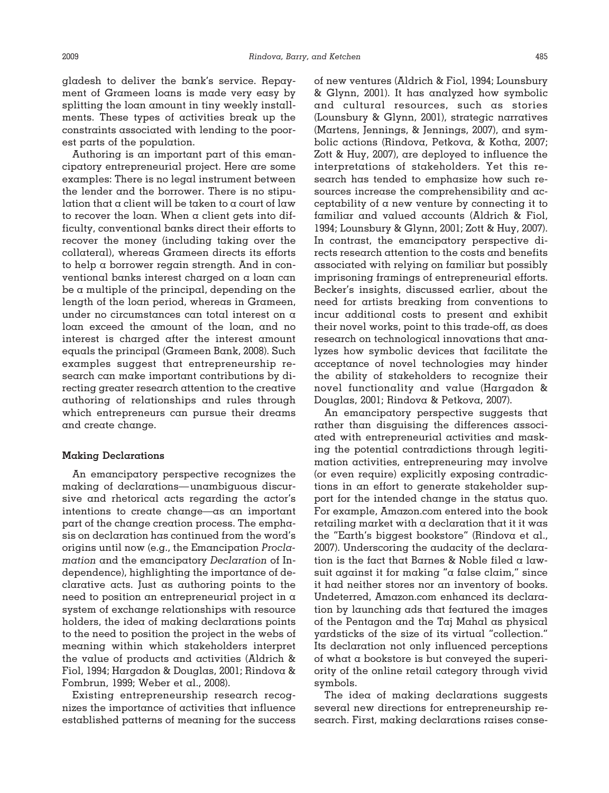gladesh to deliver the bank's service. Repayment of Grameen loans is made very easy by splitting the loan amount in tiny weekly installments. These types of activities break up the constraints associated with lending to the poorest parts of the population.

Authoring is an important part of this emancipatory entrepreneurial project. Here are some examples: There is no legal instrument between the lender and the borrower. There is no stipulation that a client will be taken to a court of law to recover the loan. When  $\alpha$  client gets into difficulty, conventional banks direct their efforts to recover the money (including taking over the collateral), whereas Grameen directs its efforts to help a borrower regain strength. And in conventional banks interest charged on a loan can be a multiple of the principal, depending on the length of the loan period, whereas in Grameen, under no circumstances can total interest on a loan exceed the amount of the loan, and no interest is charged after the interest amount equals the principal (Grameen Bank, 2008). Such examples suggest that entrepreneurship research can make important contributions by directing greater research attention to the creative authoring of relationships and rules through which entrepreneurs can pursue their dreams and create change.

#### **Making Declarations**

An emancipatory perspective recognizes the making of declarations—unambiguous discursive and rhetorical acts regarding the actor's intentions to create change—as an important part of the change creation process. The emphasis on declaration has continued from the word's origins until now (e.g., the Emancipation *Proclamation* and the emancipatory *Declaration* of Independence), highlighting the importance of declarative acts. Just as authoring points to the need to position an entrepreneurial project in a system of exchange relationships with resource holders, the idea of making declarations points to the need to position the project in the webs of meaning within which stakeholders interpret the value of products and activities (Aldrich & Fiol, 1994; Hargadon & Douglas, 2001; Rindova & Fombrun, 1999; Weber et al., 2008).

Existing entrepreneurship research recognizes the importance of activities that influence established patterns of meaning for the success of new ventures (Aldrich & Fiol, 1994; Lounsbury & Glynn, 2001). It has analyzed how symbolic and cultural resources, such as stories (Lounsbury & Glynn, 2001), strategic narratives (Martens, Jennings, & Jennings, 2007), and symbolic actions (Rindova, Petkova, & Kotha, 2007; Zott & Huy, 2007), are deployed to influence the interpretations of stakeholders. Yet this research has tended to emphasize how such resources increase the comprehensibility and acceptability of a new venture by connecting it to familiar and valued accounts (Aldrich & Fiol, 1994; Lounsbury & Glynn, 2001; Zott & Huy, 2007). In contrast, the emancipatory perspective directs research attention to the costs and benefits associated with relying on familiar but possibly imprisoning framings of entrepreneurial efforts. Becker's insights, discussed earlier, about the need for artists breaking from conventions to incur additional costs to present and exhibit their novel works, point to this trade-off, as does research on technological innovations that analyzes how symbolic devices that facilitate the acceptance of novel technologies may hinder the ability of stakeholders to recognize their novel functionality and value (Hargadon & Douglas, 2001; Rindova & Petkova, 2007).

An emancipatory perspective suggests that rather than disguising the differences associated with entrepreneurial activities and masking the potential contradictions through legitimation activities, entrepreneuring may involve (or even require) explicitly exposing contradictions in an effort to generate stakeholder support for the intended change in the status quo. For example, Amazon.com entered into the book retailing market with a declaration that it it was the "Earth's biggest bookstore" (Rindova et al., 2007). Underscoring the audacity of the declaration is the fact that Barnes & Noble filed a lawsuit against it for making "a false claim," since it had neither stores nor an inventory of books. Undeterred, Amazon.com enhanced its declaration by launching ads that featured the images of the Pentagon and the Taj Mahal as physical yardsticks of the size of its virtual "collection." Its declaration not only influenced perceptions of what a bookstore is but conveyed the superiority of the online retail category through vivid symbols.

The idea of making declarations suggests several new directions for entrepreneurship research. First, making declarations raises conse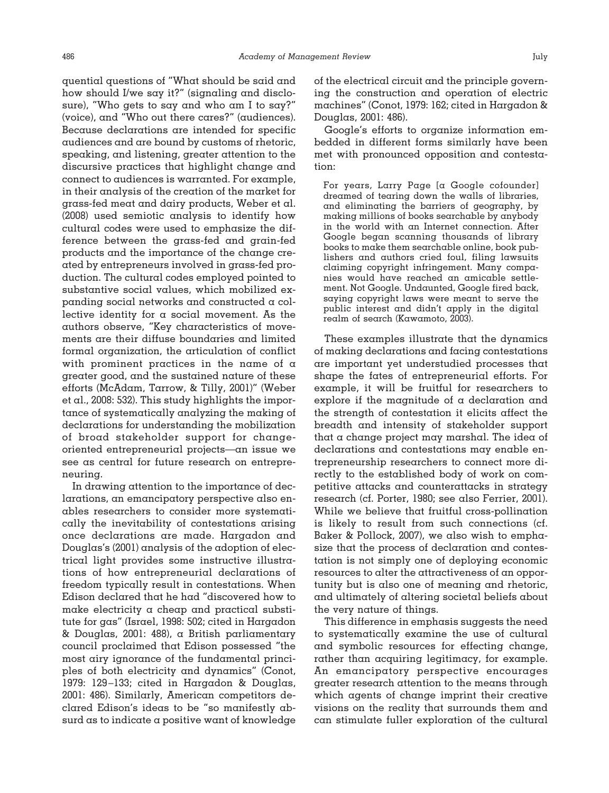quential questions of "What should be said and how should I/we say it?" (signaling and disclosure), "Who gets to say and who am I to say?" (voice), and "Who out there cares?" (audiences). Because declarations are intended for specific audiences and are bound by customs of rhetoric, speaking, and listening, greater attention to the discursive practices that highlight change and connect to audiences is warranted. For example, in their analysis of the creation of the market for grass-fed meat and dairy products, Weber et al. (2008) used semiotic analysis to identify how cultural codes were used to emphasize the difference between the grass-fed and grain-fed products and the importance of the change created by entrepreneurs involved in grass-fed production. The cultural codes employed pointed to substantive social values, which mobilized expanding social networks and constructed a collective identity for  $\alpha$  social movement. As the authors observe, "Key characteristics of movements are their diffuse boundaries and limited formal organization, the articulation of conflict with prominent practices in the name of a greater good, and the sustained nature of these efforts (McAdam, Tarrow, & Tilly, 2001)" (Weber et al., 2008: 532). This study highlights the importance of systematically analyzing the making of declarations for understanding the mobilization of broad stakeholder support for changeoriented entrepreneurial projects—an issue we see as central for future research on entrepreneuring.

In drawing attention to the importance of declarations, an emancipatory perspective also enables researchers to consider more systematically the inevitability of contestations arising once declarations are made. Hargadon and Douglas's (2001) analysis of the adoption of electrical light provides some instructive illustrations of how entrepreneurial declarations of freedom typically result in contestations. When Edison declared that he had "discovered how to make electricity a cheap and practical substitute for gas" (Israel, 1998: 502; cited in Hargadon & Douglas, 2001: 488), a British parliamentary council proclaimed that Edison possessed "the most airy ignorance of the fundamental principles of both electricity and dynamics" (Conot, 1979: 129 –133; cited in Hargadon & Douglas, 2001: 486). Similarly, American competitors declared Edison's ideas to be "so manifestly absurd as to indicate a positive want of knowledge

of the electrical circuit and the principle governing the construction and operation of electric machines" (Conot, 1979: 162; cited in Hargadon & Douglas, 2001: 486).

Google's efforts to organize information embedded in different forms similarly have been met with pronounced opposition and contestation:

For years, Larry Page [a Google cofounder] dreamed of tearing down the walls of libraries, and eliminating the barriers of geography, by making millions of books searchable by anybody in the world with an Internet connection. After Google began scanning thousands of library books to make them searchable online, book publishers and authors cried foul, filing lawsuits claiming copyright infringement. Many companies would have reached an amicable settlement. Not Google. Undaunted, Google fired back, saying copyright laws were meant to serve the public interest and didn't apply in the digital realm of search (Kawamoto, 2003).

These examples illustrate that the dynamics of making declarations and facing contestations are important yet understudied processes that shape the fates of entrepreneurial efforts. For example, it will be fruitful for researchers to explore if the magnitude of a declaration and the strength of contestation it elicits affect the breadth and intensity of stakeholder support that a change project may marshal. The idea of declarations and contestations may enable entrepreneurship researchers to connect more directly to the established body of work on competitive attacks and counterattacks in strategy research (cf. Porter, 1980; see also Ferrier, 2001). While we believe that fruitful cross-pollination is likely to result from such connections (cf. Baker & Pollock, 2007), we also wish to emphasize that the process of declaration and contestation is not simply one of deploying economic resources to alter the attractiveness of an opportunity but is also one of meaning and rhetoric, and ultimately of altering societal beliefs about the very nature of things.

This difference in emphasis suggests the need to systematically examine the use of cultural and symbolic resources for effecting change, rather than acquiring legitimacy, for example. An emancipatory perspective encourages greater research attention to the means through which agents of change imprint their creative visions on the reality that surrounds them and can stimulate fuller exploration of the cultural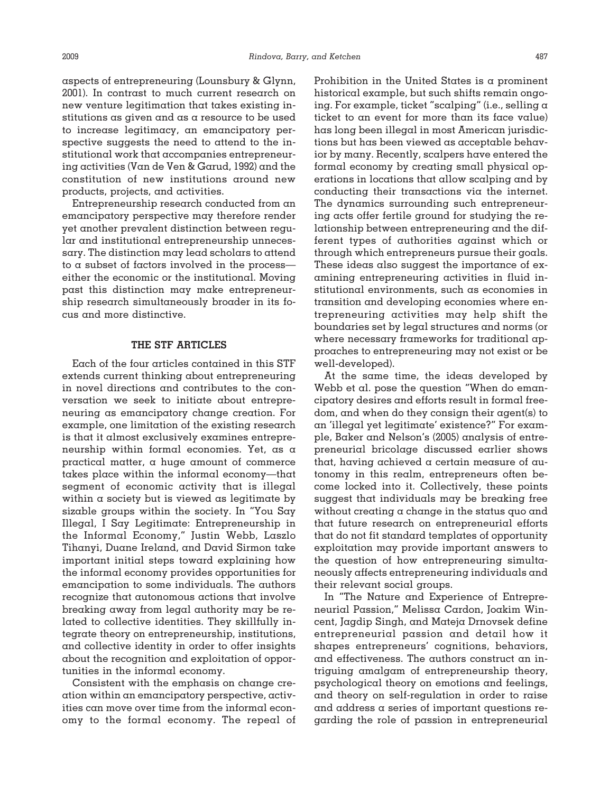aspects of entrepreneuring (Lounsbury & Glynn, 2001). In contrast to much current research on new venture legitimation that takes existing institutions as given and as a resource to be used to increase legitimacy, an emancipatory perspective suggests the need to attend to the institutional work that accompanies entrepreneuring activities (Van de Ven & Garud, 1992) and the constitution of new institutions around new products, projects, and activities.

Entrepreneurship research conducted from an emancipatory perspective may therefore render yet another prevalent distinction between regular and institutional entrepreneurship unnecessary. The distinction may lead scholars to attend to a subset of factors involved in the process either the economic or the institutional. Moving past this distinction may make entrepreneurship research simultaneously broader in its focus and more distinctive.

## **THE STF ARTICLES**

Each of the four articles contained in this STF extends current thinking about entrepreneuring in novel directions and contributes to the conversation we seek to initiate about entrepreneuring as emancipatory change creation. For example, one limitation of the existing research is that it almost exclusively examines entrepreneurship within formal economies. Yet, as a practical matter, a huge amount of commerce takes place within the informal economy—that segment of economic activity that is illegal within a society but is viewed as legitimate by sizable groups within the society. In "You Say Illegal, I Say Legitimate: Entrepreneurship in the Informal Economy," Justin Webb, Laszlo Tihanyi, Duane Ireland, and David Sirmon take important initial steps toward explaining how the informal economy provides opportunities for emancipation to some individuals. The authors recognize that autonomous actions that involve breaking away from legal authority may be related to collective identities. They skillfully integrate theory on entrepreneurship, institutions, and collective identity in order to offer insights about the recognition and exploitation of opportunities in the informal economy.

Consistent with the emphasis on change creation within an emancipatory perspective, activities can move over time from the informal economy to the formal economy. The repeal of Prohibition in the United States is a prominent historical example, but such shifts remain ongoing. For example, ticket "scalping" (i.e., selling a ticket to an event for more than its face value) has long been illegal in most American jurisdictions but has been viewed as acceptable behavior by many. Recently, scalpers have entered the formal economy by creating small physical operations in locations that allow scalping and by conducting their transactions via the internet. The dynamics surrounding such entrepreneuring acts offer fertile ground for studying the relationship between entrepreneuring and the different types of authorities against which or through which entrepreneurs pursue their goals. These ideas also suggest the importance of examining entrepreneuring activities in fluid institutional environments, such as economies in transition and developing economies where entrepreneuring activities may help shift the boundaries set by legal structures and norms (or where necessary frameworks for traditional approaches to entrepreneuring may not exist or be well-developed).

At the same time, the ideas developed by Webb et al. pose the question "When do emancipatory desires and efforts result in formal freedom, and when do they consign their agent(s) to an 'illegal yet legitimate' existence?" For example, Baker and Nelson's (2005) analysis of entrepreneurial bricolage discussed earlier shows that, having achieved a certain measure of autonomy in this realm, entrepreneurs often become locked into it. Collectively, these points suggest that individuals may be breaking free without creating a change in the status quo and that future research on entrepreneurial efforts that do not fit standard templates of opportunity exploitation may provide important answers to the question of how entrepreneuring simultaneously affects entrepreneuring individuals and their relevant social groups.

In "The Nature and Experience of Entrepreneurial Passion," Melissa Cardon, Joakim Wincent, Jagdip Singh, and Mateja Drnovsek define entrepreneurial passion and detail how it shapes entrepreneurs' cognitions, behaviors, and effectiveness. The authors construct an intriguing amalgam of entrepreneurship theory, psychological theory on emotions and feelings, and theory on self-regulation in order to raise and address a series of important questions regarding the role of passion in entrepreneurial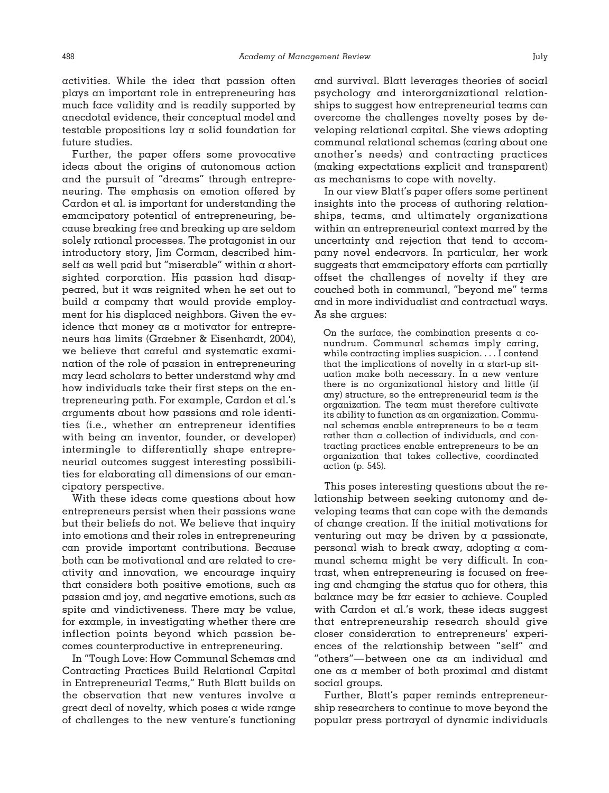activities. While the idea that passion often plays an important role in entrepreneuring has much face validity and is readily supported by anecdotal evidence, their conceptual model and testable propositions lay a solid foundation for future studies.

Further, the paper offers some provocative ideas about the origins of autonomous action and the pursuit of "dreams" through entrepreneuring. The emphasis on emotion offered by Cardon et al. is important for understanding the emancipatory potential of entrepreneuring, because breaking free and breaking up are seldom solely rational processes. The protagonist in our introductory story, Jim Corman, described himself as well paid but "miserable" within a shortsighted corporation. His passion had disappeared, but it was reignited when he set out to build a company that would provide employment for his displaced neighbors. Given the evidence that money as a motivator for entrepreneurs has limits (Graebner & Eisenhardt, 2004), we believe that careful and systematic examination of the role of passion in entrepreneuring may lead scholars to better understand why and how individuals take their first steps on the entrepreneuring path. For example, Cardon et al.'s arguments about how passions and role identities (i.e., whether an entrepreneur identifies with being an inventor, founder, or developer) intermingle to differentially shape entrepreneurial outcomes suggest interesting possibilities for elaborating all dimensions of our emancipatory perspective.

With these ideas come questions about how entrepreneurs persist when their passions wane but their beliefs do not. We believe that inquiry into emotions and their roles in entrepreneuring can provide important contributions. Because both can be motivational and are related to creativity and innovation, we encourage inquiry that considers both positive emotions, such as passion and joy, and negative emotions, such as spite and vindictiveness. There may be value, for example, in investigating whether there are inflection points beyond which passion becomes counterproductive in entrepreneuring.

In "Tough Love: How Communal Schemas and Contracting Practices Build Relational Capital in Entrepreneurial Teams," Ruth Blatt builds on the observation that new ventures involve a great deal of novelty, which poses a wide range of challenges to the new venture's functioning

and survival. Blatt leverages theories of social psychology and interorganizational relationships to suggest how entrepreneurial teams can overcome the challenges novelty poses by developing relational capital. She views adopting communal relational schemas (caring about one another's needs) and contracting practices (making expectations explicit and transparent) as mechanisms to cope with novelty.

In our view Blatt's paper offers some pertinent insights into the process of authoring relationships, teams, and ultimately organizations within an entrepreneurial context marred by the uncertainty and rejection that tend to accompany novel endeavors. In particular, her work suggests that emancipatory efforts can partially offset the challenges of novelty if they are couched both in communal, "beyond me" terms and in more individualist and contractual ways. As she argues:

On the surface, the combination presents  $\alpha$  conundrum. Communal schemas imply caring, while contracting implies suspicion. . . . I contend that the implications of novelty in  $\alpha$  start-up situation make both necessary. In  $\alpha$  new venture there is no organizational history and little (if any) structure, so the entrepreneurial team *is* the organization. The team must therefore cultivate its ability to function as an organization. Communal schemas enable entrepreneurs to be a team rather than a collection of individuals, and contracting practices enable entrepreneurs to be an organization that takes collective, coordinated action (p. 545).

This poses interesting questions about the relationship between seeking autonomy and developing teams that can cope with the demands of change creation. If the initial motivations for venturing out may be driven by a passionate, personal wish to break away, adopting a communal schema might be very difficult. In contrast, when entrepreneuring is focused on freeing and changing the status quo for others, this balance may be far easier to achieve. Coupled with Cardon et al.'s work, these ideas suggest that entrepreneurship research should give closer consideration to entrepreneurs' experiences of the relationship between "self" and "others"—between one as an individual and one as a member of both proximal and distant social groups.

Further, Blatt's paper reminds entrepreneurship researchers to continue to move beyond the popular press portrayal of dynamic individuals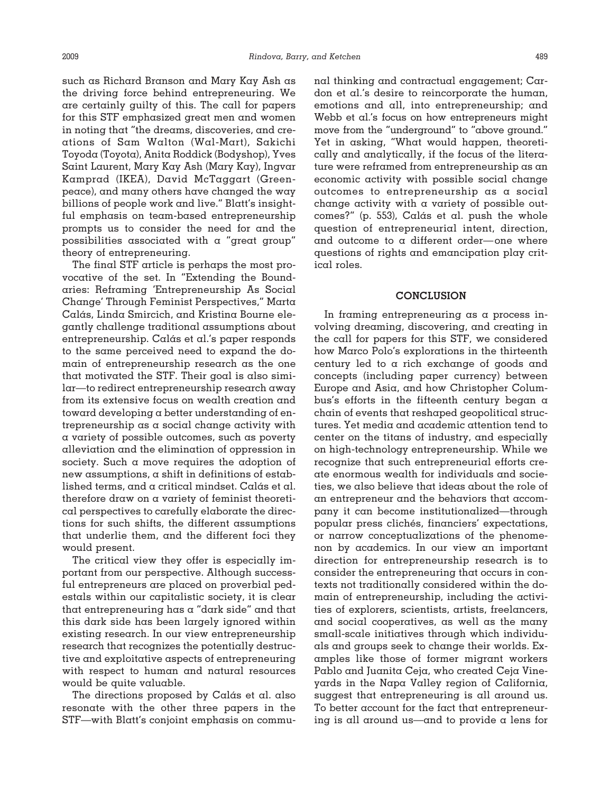such as Richard Branson and Mary Kay Ash as the driving force behind entrepreneuring. We are certainly guilty of this. The call for papers for this STF emphasized great men and women in noting that "the dreams, discoveries, and creations of Sam Walton (Wal-Mart), Sakichi Toyoda (Toyota), Anita Roddick (Bodyshop), Yves Saint Laurent, Mary Kay Ash (Mary Kay), Ingvar Kamprad (IKEA), David McTaggart (Greenpeace), and many others have changed the way billions of people work and live." Blatt's insightful emphasis on team-based entrepreneurship prompts us to consider the need for and the possibilities associated with a "great group" theory of entrepreneuring.

The final STF article is perhaps the most provocative of the set. In "Extending the Boundaries: Reframing 'Entrepreneurship As Social Change' Through Feminist Perspectives," Marta Calás, Linda Smircich, and Kristina Bourne elegantly challenge traditional assumptions about entrepreneurship. Calás et al.'s paper responds to the same perceived need to expand the domain of entrepreneurship research as the one that motivated the STF. Their goal is also similar—to redirect entrepreneurship research away from its extensive focus on wealth creation and toward developing a better understanding of entrepreneurship as a social change activity with a variety of possible outcomes, such as poverty alleviation and the elimination of oppression in society. Such a move requires the adoption of new assumptions, a shift in definitions of established terms, and a critical mindset. Calás et al. therefore draw on a variety of feminist theoretical perspectives to carefully elaborate the directions for such shifts, the different assumptions that underlie them, and the different foci they would present.

The critical view they offer is especially important from our perspective. Although successful entrepreneurs are placed on proverbial pedestals within our capitalistic society, it is clear that entrepreneuring has a "dark side" and that this dark side has been largely ignored within existing research. In our view entrepreneurship research that recognizes the potentially destructive and exploitative aspects of entrepreneuring with respect to human and natural resources would be quite valuable.

The directions proposed by Calás et al. also resonate with the other three papers in the STF—with Blatt's conjoint emphasis on communal thinking and contractual engagement; Cardon et al.'s desire to reincorporate the human, emotions and all, into entrepreneurship; and Webb et al.'s focus on how entrepreneurs might move from the "underground" to "above ground." Yet in asking, "What would happen, theoretically and analytically, if the focus of the literature were reframed from entrepreneurship as an economic activity with possible social change outcomes to entrepreneurship as a social change activity with a variety of possible outcomes?" (p. 553),  $Calás$  et al. push the whole question of entrepreneurial intent, direction, and outcome to a different order— one where questions of rights and emancipation play critical roles.

#### **CONCLUSION**

In framing entrepreneuring as a process involving dreaming, discovering, and creating in the call for papers for this STF, we considered how Marco Polo's explorations in the thirteenth century led to a rich exchange of goods and concepts (including paper currency) between Europe and Asia, and how Christopher Columbus's efforts in the fifteenth century began a chain of events that reshaped geopolitical structures. Yet media and academic attention tend to center on the titans of industry, and especially on high-technology entrepreneurship. While we recognize that such entrepreneurial efforts create enormous wealth for individuals and societies, we also believe that ideas about the role of an entrepreneur and the behaviors that accompany it can become institutionalized—through popular press clichés, financiers' expectations, or narrow conceptualizations of the phenomenon by academics. In our view an important direction for entrepreneurship research is to consider the entrepreneuring that occurs in contexts not traditionally considered within the domain of entrepreneurship, including the activities of explorers, scientists, artists, freelancers, and social cooperatives, as well as the many small-scale initiatives through which individuals and groups seek to change their worlds. Examples like those of former migrant workers Pablo and Juanita Ceja, who created Ceja Vineyards in the Napa Valley region of California, suggest that entrepreneuring is all around us. To better account for the fact that entrepreneuring is all around us—and to provide  $\alpha$  lens for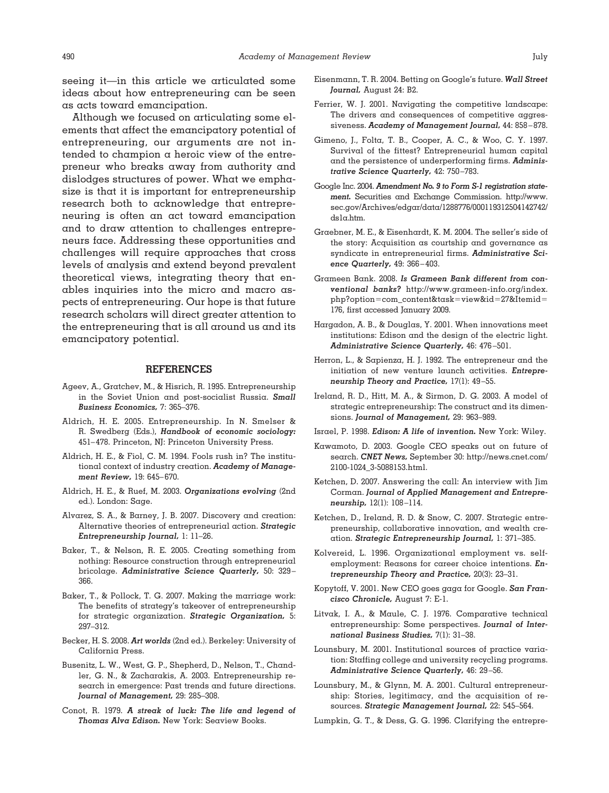seeing it—in this article we articulated some ideas about how entrepreneuring can be seen as acts toward emancipation.

Although we focused on articulating some elements that affect the emancipatory potential of entrepreneuring, our arguments are not intended to champion a heroic view of the entrepreneur who breaks away from authority and dislodges structures of power. What we emphasize is that it is important for entrepreneurship research both to acknowledge that entrepreneuring is often an act toward emancipation and to draw attention to challenges entrepreneurs face. Addressing these opportunities and challenges will require approaches that cross levels of analysis and extend beyond prevalent theoretical views, integrating theory that enables inquiries into the micro and macro aspects of entrepreneuring. Our hope is that future research scholars will direct greater attention to the entrepreneuring that is all around us and its emancipatory potential.

#### **REFERENCES**

- Ageev, A., Gratchev, M., & Hisrich, R. 1995. Entrepreneurship in the Soviet Union and post-socialist Russia. *Small Business Economics,* 7: 365–376.
- Aldrich, H. E. 2005. Entrepreneurship. In N. Smelser & R. Swedberg (Eds.), *Handbook of economic sociology:* 451– 478. Princeton, NJ: Princeton University Press.
- Aldrich, H. E., & Fiol, C. M. 1994. Fools rush in? The institutional context of industry creation. *Academy of Management Review,* 19: 645– 670.
- Aldrich, H. E., & Ruef, M. 2003. *Organizations evolving* (2nd ed.). London: Sage.
- Alvarez, S. A., & Barney, J. B. 2007. Discovery and creation: Alternative theories of entrepreneurial action. *Strategic Entrepreneurship Journal,* 1: 11–26.
- Baker, T., & Nelson, R. E. 2005. Creating something from nothing: Resource construction through entrepreneurial bricolage. *Administrative Science Quarterly,* 50: 329 – 366.
- Baker, T., & Pollock, T. G. 2007. Making the marriage work: The benefits of strategy's takeover of entrepreneurship for strategic organization. *Strategic Organization,* 5: 297–312.
- Becker, H. S. 2008. *Art worlds* (2nd ed.). Berkeley: University of California Press.
- Busenitz, L. W., West, G. P., Shepherd, D., Nelson, T., Chandler, G. N., & Zacharakis, A. 2003. Entrepreneurship research in emergence: Past trends and future directions. *Journal of Management,* 29: 285–308.
- Conot, R. 1979. *A streak of luck: The life and legend of Thomas Alva Edison.* New York: Seaview Books.
- Eisenmann, T. R. 2004. Betting on Google's future. *Wall Street Journal,* August 24: B2.
- Ferrier, W. J. 2001. Navigating the competitive landscape: The drivers and consequences of competitive aggressiveness. *Academy of Management Journal,* 44: 858 – 878.
- Gimeno, J., Folta, T. B., Cooper, A. C., & Woo, C. Y. 1997. Survival of the fittest? Entrepreneurial human capital and the persistence of underperforming firms. *Administrative Science Quarterly,* 42: 750 –783.
- Google Inc. 2004. *Amendment No. 9 to Form S-1 registration statement.* Securities and Exchange Commission. http://www. sec.gov/Archives/edgar/data/1288776/000119312504142742/ ds1a.htm.
- Graebner, M. E., & Eisenhardt, K. M. 2004. The seller's side of the story: Acquisition as courtship and governance as syndicate in entrepreneurial firms. *Administrative Science Quarterly,* 49: 366 – 403.
- Grameen Bank. 2008. *Is Grameen Bank different from conventional banks?* http://www.grameen-info.org/index. php?option=com\_content&task=view&id=27&Itemid= 176, first accessed January 2009.
- Hargadon, A. B., & Douglas, Y. 2001. When innovations meet institutions: Edison and the design of the electric light. *Administrative Science Quarterly,* 46: 476 –501.
- Herron, L., & Sapienza, H. J. 1992. The entrepreneur and the initiation of new venture launch activities. *Entrepreneurship Theory and Practice,* 17(1): 49 –55.
- Ireland, R. D., Hitt, M. A., & Sirmon, D. G. 2003. A model of strategic entrepreneurship: The construct and its dimensions. *Journal of Management,* 29: 963–989.
- Israel, P. 1998. *Edison: A life of invention.* New York: Wiley.
- Kawamoto, D. 2003. Google CEO speaks out on future of search. *CNET News,* September 30: http://news.cnet.com/ 2100-1024\_3-5088153.html.
- Ketchen, D. 2007. Answering the call: An interview with Jim Corman. *Journal of Applied Management and Entrepreneurship,* 12(1): 108 –114.
- Ketchen, D., Ireland, R. D. & Snow, C. 2007. Strategic entrepreneurship, collaborative innovation, and wealth creation. *Strategic Entrepreneurship Journal,* 1: 371–385.
- Kolvereid, L. 1996. Organizational employment vs. selfemployment: Reasons for career choice intentions. *Entrepreneurship Theory and Practice,* 20(3): 23–31.
- Kopytoff, V. 2001. New CEO goes gaga for Google. *San Francisco Chronicle,* August 7: E-1.
- Litvak, I. A., & Maule, C. J. 1976. Comparative technical entrepreneurship: Some perspectives. *Journal of International Business Studies,* 7(1): 31–38.
- Lounsbury, M. 2001. Institutional sources of practice variation: Staffing college and university recycling programs. *Administrative Science Quarterly,* 46: 29 –56.
- Lounsbury, M., & Glynn, M. A. 2001. Cultural entrepreneurship: Stories, legitimacy, and the acquisition of resources. *Strategic Management Journal,* 22: 545–564.
- Lumpkin, G. T., & Dess, G. G. 1996. Clarifying the entrepre-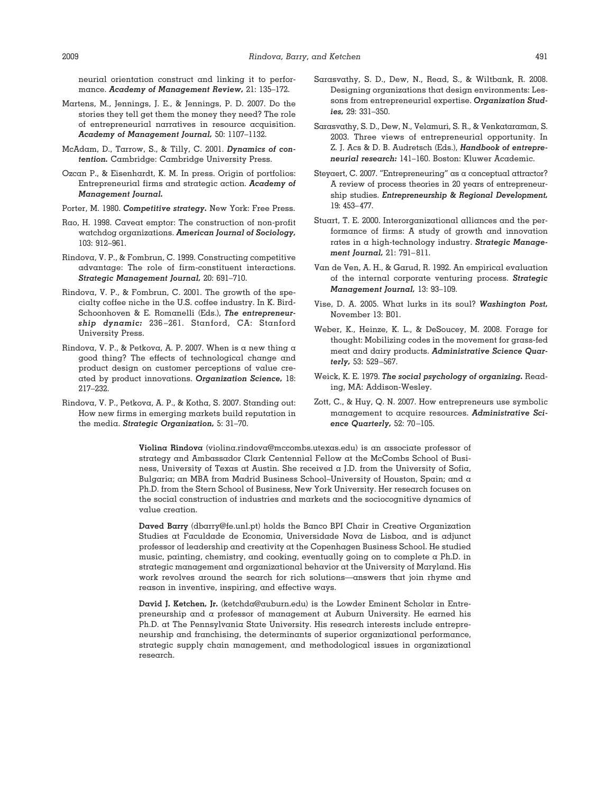neurial orientation construct and linking it to performance. *Academy of Management Review,* 21: 135–172.

- Martens, M., Jennings, J. E., & Jennings, P. D. 2007. Do the stories they tell get them the money they need? The role of entrepreneurial narratives in resource acquisition. *Academy of Management Journal,* 50: 1107–1132.
- McAdam, D., Tarrow, S., & Tilly, C. 2001. *Dynamics of contention.* Cambridge: Cambridge University Press.
- Ozcan P., & Eisenhardt, K. M. In press. Origin of portfolios: Entrepreneurial firms and strategic action. *Academy of Management Journal.*
- Porter, M. 1980. *Competitive strategy.* New York: Free Press.
- Rao, H. 1998. Caveat emptor: The construction of non-profit watchdog organizations. *American Journal of Sociology,* 103: 912–961.
- Rindova, V. P., & Fombrun, C. 1999. Constructing competitive advantage: The role of firm-constituent interactions. *Strategic Management Journal,* 20: 691–710.
- Rindova, V. P., & Fombrun, C. 2001. The growth of the specialty coffee niche in the U.S. coffee industry. In K. Bird-Schoonhoven & E. Romanelli (Eds.), *The entrepreneurship dynamic:* 236 –261. Stanford, CA: Stanford University Press.
- Rindova, V. P., & Petkova, A. P. 2007. When is a new thing  $\alpha$ good thing? The effects of technological change and product design on customer perceptions of value created by product innovations. *Organization Science,* 18: 217–232.
- Rindova, V. P., Petkova, A. P., & Kotha, S. 2007. Standing out: How new firms in emerging markets build reputation in the media. *Strategic Organization,* 5: 31–70.
- Sarasvathy, S. D., Dew, N., Read, S., & Wiltbank, R. 2008. Designing organizations that design environments: Lessons from entrepreneurial expertise. *Organization Studies,* 29: 331–350.
- Sarasvathy, S. D., Dew, N., Velamuri, S. R., & Venkataraman, S. 2003. Three views of entrepreneurial opportunity. In Z. J. Acs & D. B. Audretsch (Eds.), *Handbook of entrepreneurial research:* 141–160. Boston: Kluwer Academic.
- Steyaert, C. 2007. "Entrepreneuring" as a conceptual attractor? A review of process theories in 20 years of entrepreneurship studies. *Entrepreneurship & Regional Development,* 19: 453– 477.
- Stuart, T. E. 2000. Interorganizational alliances and the performance of firms: A study of growth and innovation rates in a high-technology industry. *Strategic Management Journal,* 21: 791– 811.
- Van de Ven, A. H., & Garud, R. 1992. An empirical evaluation of the internal corporate venturing process. *Strategic Management Journal,* 13: 93–109.
- Vise, D. A. 2005. What lurks in its soul? *Washington Post,* November 13: B01.
- Weber, K., Heinze, K. L., & DeSoucey, M. 2008. Forage for thought: Mobilizing codes in the movement for grass-fed meat and dairy products. *Administrative Science Quarterly,* 53: 529 –567.
- Weick, K. E. 1979. *The social psychology of organizing.* Reading, MA: Addison-Wesley.
- Zott, C., & Huy, Q. N. 2007. How entrepreneurs use symbolic management to acquire resources. *Administrative Science Quarterly,* 52: 70 –105.

**Violina Rindova** (violina.rindova@mccombs.utexas.edu) is an associate professor of strategy and Ambassador Clark Centennial Fellow at the McCombs School of Business, University of Texas at Austin. She received a J.D. from the University of Sofia, Bulgaria; an MBA from Madrid Business School–University of Houston, Spain; and a Ph.D. from the Stern School of Business, New York University. Her research focuses on the social construction of industries and markets and the sociocognitive dynamics of value creation.

**Daved Barry** (dbarry@fe.unl.pt) holds the Banco BPI Chair in Creative Organization Studies at Faculdade de Economia, Universidade Nova de Lisboa, and is adjunct professor of leadership and creativity at the Copenhagen Business School. He studied music, painting, chemistry, and cooking, eventually going on to complete a Ph.D. in strategic management and organizational behavior at the University of Maryland. His work revolves around the search for rich solutions—answers that join rhyme and reason in inventive, inspiring, and effective ways.

**David J. Ketchen, Jr.** (ketchda@auburn.edu) is the Lowder Eminent Scholar in Entrepreneurship and a professor of management at Auburn University. He earned his Ph.D. at The Pennsylvania State University. His research interests include entrepreneurship and franchising, the determinants of superior organizational performance, strategic supply chain management, and methodological issues in organizational research.